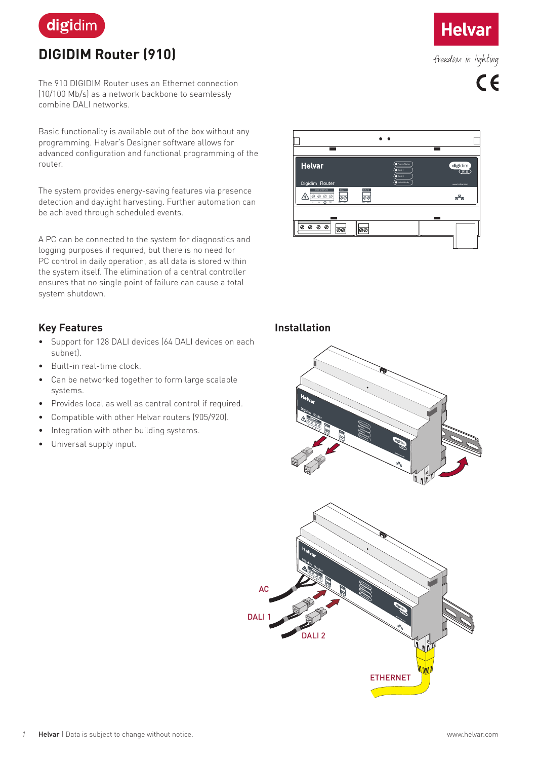

# **DIGIDIM Router (910)**

The 910 DIGIDIM Router uses an Ethernet connection (10/100 Mb/s) as a network backbone to seamlessly combine DALI networks.

Basic functionality is available out of the box without any programming. Helvar's Designer software allows for advanced configuration and functional programming of the router.

The system provides energy-saving features via presence detection and daylight harvesting. Further automation can be achieved through scheduled events.

A PC can be connected to the system for diagnostics and logging purposes if required, but there is no need for PC control in daily operation, as all data is stored within the system itself. The elimination of a central controller ensures that no single point of failure can cause a total system shutdown.

## **Key Features**

- Support for 128 DALI devices (64 DALI devices on each subnet).
- Built-in real-time clock.
- Can be networked together to form large scalable systems.
- Provides local as well as central control if required.
- Compatible with other Helvar routers (905/920).
- Integration with other building systems.
- Universal supply input.



 $\bullet\bullet$ 

**Helvar** 

freedom in lighting

 $C \in$ 

#### **Installation**